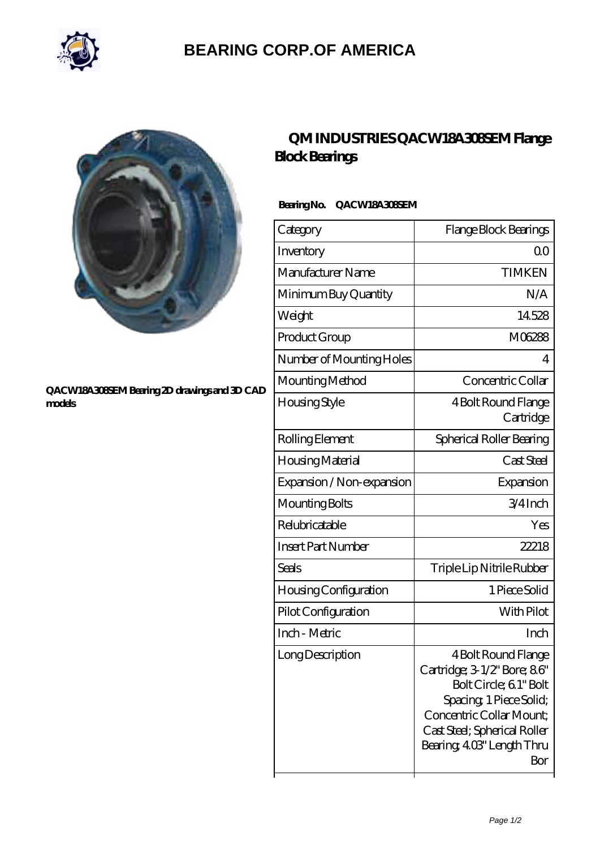

## **[BEARING CORP.OF AMERICA](https://m.bluemondayreview.com)**



#### **[QACW18A308SEM Bearing 2D drawings and 3D CAD](https://m.bluemondayreview.com/pic-175657.html) [models](https://m.bluemondayreview.com/pic-175657.html)**

## **[QM INDUSTRIES QACW18A308SEM Flange](https://m.bluemondayreview.com/af-175657-qm-industries-qacw18a308sem-flange-block-bearings.html) [Block Bearings](https://m.bluemondayreview.com/af-175657-qm-industries-qacw18a308sem-flange-block-bearings.html)**

### **Bearing No. QACW18A308SEM**

| Category                  | Flange Block Bearings                                                                                                                                                                                   |
|---------------------------|---------------------------------------------------------------------------------------------------------------------------------------------------------------------------------------------------------|
| Inventory                 | QΟ                                                                                                                                                                                                      |
| Manufacturer Name         | <b>TIMKEN</b>                                                                                                                                                                                           |
| Minimum Buy Quantity      | N/A                                                                                                                                                                                                     |
| Weight                    | 14528                                                                                                                                                                                                   |
| Product Group             | M06288                                                                                                                                                                                                  |
| Number of Mounting Holes  | 4                                                                                                                                                                                                       |
| Mounting Method           | Concentric Collar                                                                                                                                                                                       |
| Housing Style             | 4 Bolt Round Flange<br>Cartridge                                                                                                                                                                        |
| Rolling Element           | Spherical Roller Bearing                                                                                                                                                                                |
| Housing Material          | Cast Steel                                                                                                                                                                                              |
| Expansion / Non-expansion | Expansion                                                                                                                                                                                               |
| Mounting Bolts            | $3/4$ Inch                                                                                                                                                                                              |
| Relubricatable            | Yes                                                                                                                                                                                                     |
| <b>Insert Part Number</b> | 22218                                                                                                                                                                                                   |
| Seals                     | Triple Lip Nitrile Rubber                                                                                                                                                                               |
| Housing Configuration     | 1 Piece Solid                                                                                                                                                                                           |
| Pilot Configuration       | With Pilot                                                                                                                                                                                              |
| Inch - Metric             | Inch                                                                                                                                                                                                    |
| Long Description          | 4 Bolt Round Flange<br>Cartridge; 3-1/2' Bore; 86'<br>Bolt Circle; 6.1" Bolt<br>Spacing, 1 Piece Solid;<br>Concentric Collar Mount;<br>Cast Steel; Spherical Roller<br>Bearing, 403" Length Thru<br>Bor |